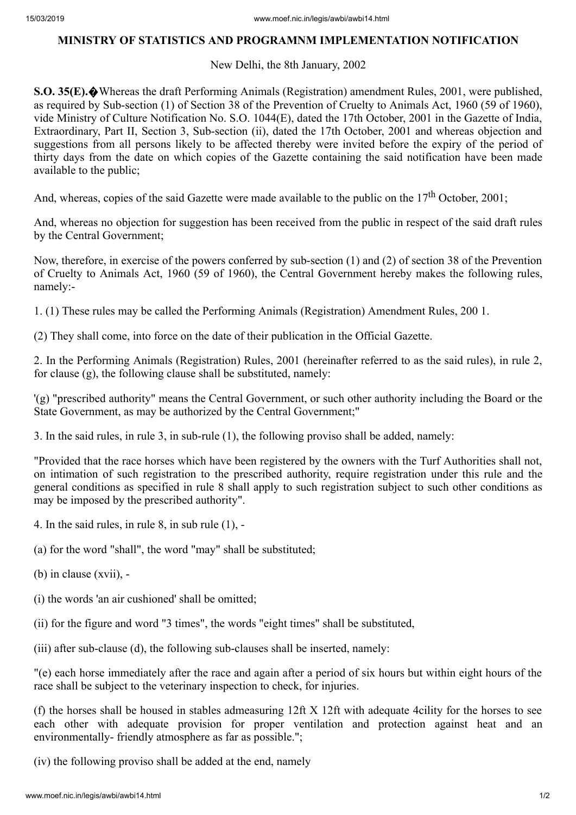## **MINISTRY OF STATISTICS AND PROGRAMNM IMPLEMENTATION NOTIFICATION**

## New Delhi, the 8th January, 2002

**S.O. 35(E).**�Whereas the draft Performing Animals (Registration) amendment Rules, 2001, were published, as required by Sub-section (1) of Section 38 of the Prevention of Cruelty to Animals Act, 1960 (59 of 1960), vide Ministry of Culture Notification No. S.O. 1044(E), dated the 17th October, 2001 in the Gazette of India, Extraordinary, Part II, Section 3, Sub-section (ii), dated the 17th October, 2001 and whereas objection and suggestions from all persons likely to be affected thereby were invited before the expiry of the period of thirty days from the date on which copies of the Gazette containing the said notification have been made available to the public;

And, whereas, copies of the said Gazette were made available to the public on the  $17<sup>th</sup>$  October, 2001;

And, whereas no objection for suggestion has been received from the public in respect of the said draft rules by the Central Government;

Now, therefore, in exercise of the powers conferred by sub-section (1) and (2) of section 38 of the Prevention of Cruelty to Animals Act, 1960 (59 of 1960), the Central Government hereby makes the following rules, namely:-

1. (1) These rules may be called the Performing Animals (Registration) Amendment Rules, 200 1.

(2) They shall come, into force on the date of their publication in the Official Gazette.

2. In the Performing Animals (Registration) Rules, 2001 (hereinafter referred to as the said rules), in rule 2, for clause (g), the following clause shall be substituted, namely:

'(g) "prescribed authority" means the Central Government, or such other authority including the Board or the State Government, as may be authorized by the Central Government;"

3. In the said rules, in rule 3, in sub-rule (1), the following proviso shall be added, namely:

"Provided that the race horses which have been registered by the owners with the Turf Authorities shall not, on intimation of such registration to the prescribed authority, require registration under this rule and the general conditions as specified in rule 8 shall apply to such registration subject to such other conditions as may be imposed by the prescribed authority".

- 4. In the said rules, in rule 8, in sub rule (1), -
- (a) for the word "shall", the word "may" shall be substituted;
- (b) in clause (xvii), -
- (i) the words 'an air cushioned' shall be omitted;
- (ii) for the figure and word "3 times", the words "eight times" shall be substituted,
- (iii) after sub-clause (d), the following sub-clauses shall be inserted, namely:

"(e) each horse immediately after the race and again after a period of six hours but within eight hours of the race shall be subject to the veterinary inspection to check, for injuries.

(f) the horses shall be housed in stables admeasuring 12ft X 12ft with adequate 4cility for the horses to see each other with adequate provision for proper ventilation and protection against heat and an environmentally- friendly atmosphere as far as possible.";

(iv) the following proviso shall be added at the end, namely